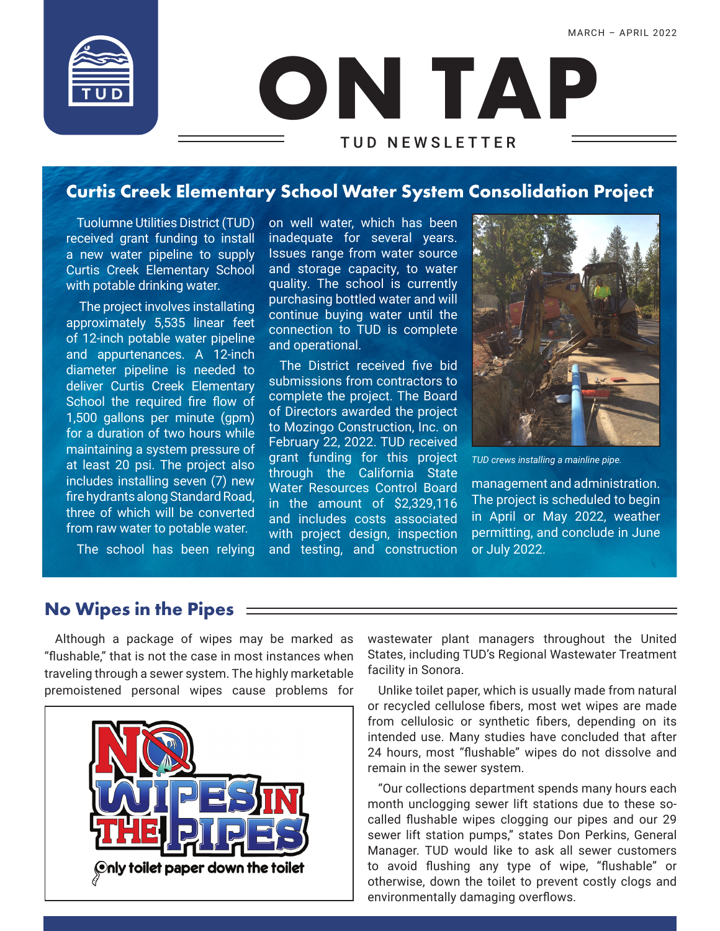

# **ON TAP** TUD NEWSLETTER

# **Curtis Creek Elementary School Water System Consolidation Project**

Tuolumne Utilities District (TUD) received grant funding to install a new water pipeline to supply Curtis Creek Elementary School with potable drinking water.

 The project involves installating approximately 5,535 linear feet of 12-inch potable water pipeline and appurtenances. A 12-inch diameter pipeline is needed to deliver Curtis Creek Elementary School the required fire flow of 1,500 gallons per minute (gpm) for a duration of two hours while maintaining a system pressure of at least 20 psi. The project also includes installing seven (7) new fire hydrants along Standard Road, three of which will be converted from raw water to potable water.

The school has been relying

on well water, which has been inadequate for several years. Issues range from water source and storage capacity, to water quality. The school is currently purchasing bottled water and will continue buying water until the connection to TUD is complete and operational.

The District received five bid submissions from contractors to complete the project. The Board of Directors awarded the project to Mozingo Construction, Inc. on February 22, 2022. TUD received grant funding for this project through the California State Water Resources Control Board in the amount of \$2,329,116 and includes costs associated with project design, inspection and testing, and construction



*TUD crews installing a mainline pipe.*

management and administration. The project is scheduled to begin in April or May 2022, weather permitting, and conclude in June or July 2022.

### **No Wipes in the Pipes**

Although a package of wipes may be marked as "flushable," that is not the case in most instances when traveling through a sewer system. The highly marketable premoistened personal wipes cause problems for



wastewater plant managers throughout the United States, including TUD's Regional Wastewater Treatment facility in Sonora.

Unlike toilet paper, which is usually made from natural or recycled cellulose fibers, most wet wipes are made from cellulosic or synthetic fibers, depending on its intended use. Many studies have concluded that after 24 hours, most "flushable" wipes do not dissolve and remain in the sewer system.

"Our collections department spends many hours each month unclogging sewer lift stations due to these socalled flushable wipes clogging our pipes and our 29 sewer lift station pumps," states Don Perkins, General Manager. TUD would like to ask all sewer customers to avoid flushing any type of wipe, "flushable" or otherwise, down the toilet to prevent costly clogs and environmentally damaging overflows.